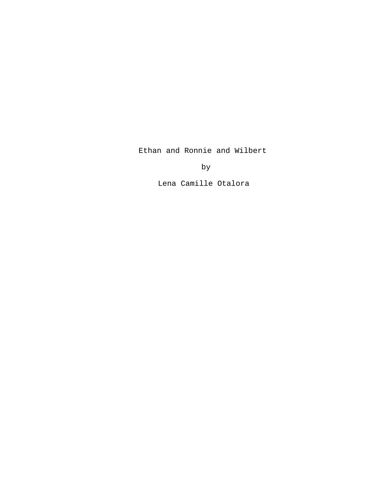Ethan and Ronnie and Wilbert

by

Lena Camille Otalora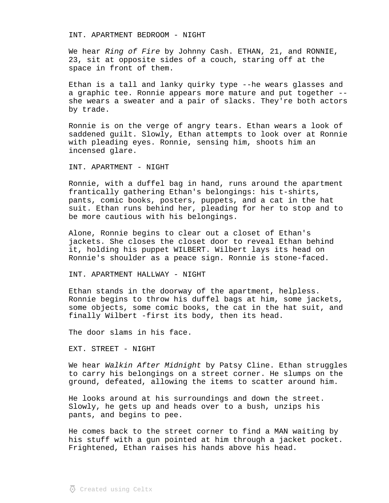INT. APARTMENT BEDROOM - NIGHT

We hear Ring of Fire by Johnny Cash. ETHAN, 21, and RONNIE, 23, sit at opposite sides of a couch, staring off at the space in front of them.

Ethan is a tall and lanky quirky type --he wears glasses and a graphic tee. Ronnie appears more mature and put together - she wears a sweater and a pair of slacks. They're both actors by trade.

Ronnie is on the verge of angry tears. Ethan wears a look of saddened guilt. Slowly, Ethan attempts to look over at Ronnie with pleading eyes. Ronnie, sensing him, shoots him an incensed glare.

INT. APARTMENT - NIGHT

Ronnie, with a duffel bag in hand, runs around the apartment frantically gathering Ethan's belongings: his t-shirts, pants, comic books, posters, puppets, and a cat in the hat suit. Ethan runs behind her, pleading for her to stop and to be more cautious with his belongings.

Alone, Ronnie begins to clear out a closet of Ethan's jackets. She closes the closet door to reveal Ethan behind it, holding his puppet WILBERT. Wilbert lays its head on Ronnie's shoulder as a peace sign. Ronnie is stone-faced.

INT. APARTMENT HALLWAY - NIGHT

Ethan stands in the doorway of the apartment, helpless. Ronnie begins to throw his duffel bags at him, some jackets, some objects, some comic books, the cat in the hat suit, and finally Wilbert -first its body, then its head.

The door slams in his face.

EXT. STREET - NIGHT

We hear Walkin After Midnight by Patsy Cline. Ethan struggles to carry his belongings on a street corner. He slumps on the ground, defeated, allowing the items to scatter around him.

He looks around at his surroundings and down the street. Slowly, he gets up and heads over to a bush, unzips his pants, and begins to pee.

He comes back to the street corner to find a MAN waiting by his stuff with a gun pointed at him through a jacket pocket. Frightened, Ethan raises his hands above his head.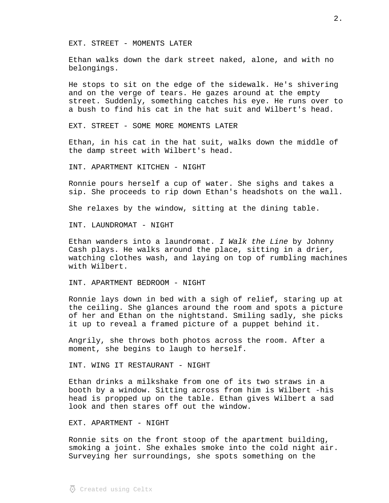EXT. STREET - MOMENTS LATER

Ethan walks down the dark street naked, alone, and with no belongings.

He stops to sit on the edge of the sidewalk. He's shivering and on the verge of tears. He gazes around at the empty street. Suddenly, something catches his eye. He runs over to a bush to find his cat in the hat suit and Wilbert's head.

EXT. STREET - SOME MORE MOMENTS LATER

Ethan, in his cat in the hat suit, walks down the middle of the damp street with Wilbert's head.

INT. APARTMENT KITCHEN - NIGHT

Ronnie pours herself a cup of water. She sighs and takes a sip. She proceeds to rip down Ethan's headshots on the wall.

She relaxes by the window, sitting at the dining table.

INT. LAUNDROMAT - NIGHT

Ethan wanders into a laundromat.  $I$  Walk the Line by Johnny Cash plays. He walks around the place, sitting in a drier, watching clothes wash, and laying on top of rumbling machines with Wilbert.

INT. APARTMENT BEDROOM - NIGHT

Ronnie lays down in bed with a sigh of relief, staring up at the ceiling. She glances around the room and spots a picture of her and Ethan on the nightstand. Smiling sadly, she picks it up to reveal a framed picture of a puppet behind it.

Angrily, she throws both photos across the room. After a moment, she begins to laugh to herself.

INT. WING IT RESTAURANT - NIGHT

Ethan drinks a milkshake from one of its two straws in a booth by a window. Sitting across from him is Wilbert -his head is propped up on the table. Ethan gives Wilbert a sad look and then stares off out the window.

EXT. APARTMENT - NIGHT

Ronnie sits on the front stoop of the apartment building, smoking a joint. She exhales smoke into the cold night air. Surveying her surroundings, she spots something on the